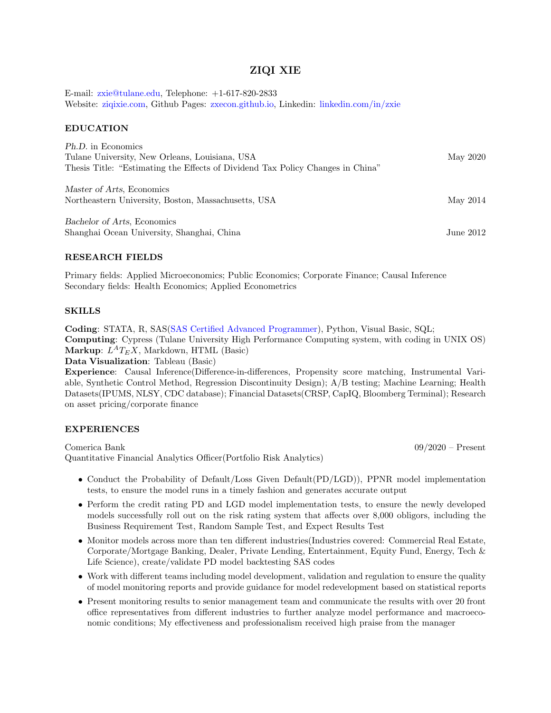# ZIQI XIE

E-mail: [zxie@tulane.edu,](mailto:zxie@tulane.edu) Telephone: +1-617-820-2833 Website: [ziqixie.com,](https://ziqixie.com) Github Pages: [zxecon.github.io,](https://zxecon.github.io) Linkedin: [linkedin.com/in/zxie](https://www.linkedin.com/in/zxie/)

### EDUCATION

| <i>Ph.D.</i> in Economics<br>Tulane University, New Orleans, Louisiana, USA<br>Thesis Title: "Estimating the Effects of Dividend Tax Policy Changes in China" | May 2020    |
|---------------------------------------------------------------------------------------------------------------------------------------------------------------|-------------|
| Master of Arts, Economics<br>Northeastern University, Boston, Massachusetts, USA                                                                              | May 2014    |
| Bachelor of Arts, Economics<br>Shanghai Ocean University, Shanghai, China                                                                                     | June $2012$ |

### RESEARCH FIELDS

Primary fields: Applied Microeconomics; Public Economics; Corporate Finance; Causal Inference Secondary fields: Health Economics; Applied Econometrics

#### SKILLS

Coding: STATA, R, SAS[\(SAS Certified Advanced Programmer\)](https://www.youracclaim.com/badges/c4bce10e-7398-4203-9d11-f9c6723749a4/linked_in_profile), Python, Visual Basic, SQL; Computing: Cypress (Tulane University High Performance Computing system, with coding in UNIX OS) Markup:  $L^A T_E X$ , Markdown, HTML (Basic)

Data Visualization: Tableau (Basic)

Experience: Causal Inference(Difference-in-differences, Propensity score matching, Instrumental Variable, Synthetic Control Method, Regression Discontinuity Design); A/B testing; Machine Learning; Health Datasets(IPUMS, NLSY, CDC database); Financial Datasets(CRSP, CapIQ, Bloomberg Terminal); Research on asset pricing/corporate finance

### EXPERIENCES

Comerica Bank 09/2020 – Present Quantitative Financial Analytics Officer(Portfolio Risk Analytics)

- Conduct the Probability of Default/Loss Given Default(PD/LGD)), PPNR model implementation tests, to ensure the model runs in a timely fashion and generates accurate output
- Perform the credit rating PD and LGD model implementation tests, to ensure the newly developed models successfully roll out on the risk rating system that affects over 8,000 obligors, including the Business Requirement Test, Random Sample Test, and Expect Results Test
- Monitor models across more than ten different industries(Industries covered: Commercial Real Estate, Corporate/Mortgage Banking, Dealer, Private Lending, Entertainment, Equity Fund, Energy, Tech & Life Science), create/validate PD model backtesting SAS codes
- Work with different teams including model development, validation and regulation to ensure the quality of model monitoring reports and provide guidance for model redevelopment based on statistical reports
- Present monitoring results to senior management team and communicate the results with over 20 front office representatives from different industries to further analyze model performance and macroeconomic conditions; My effectiveness and professionalism received high praise from the manager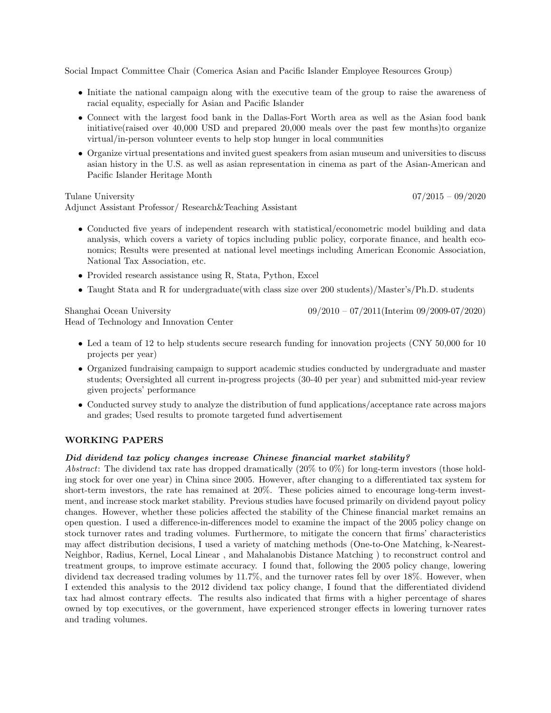Social Impact Committee Chair (Comerica Asian and Pacific Islander Employee Resources Group)

- Initiate the national campaign along with the executive team of the group to raise the awareness of racial equality, especially for Asian and Pacific Islander
- Connect with the largest food bank in the Dallas-Fort Worth area as well as the Asian food bank initiative(raised over 40,000 USD and prepared 20,000 meals over the past few months)to organize virtual/in-person volunteer events to help stop hunger in local communities
- Organize virtual presentations and invited guest speakers from asian museum and universities to discuss asian history in the U.S. as well as asian representation in cinema as part of the Asian-American and Pacific Islander Heritage Month

#### Tulane University 07/2015 – 09/2020

Adjunct Assistant Professor/ Research&Teaching Assistant

- Conducted five years of independent research with statistical/econometric model building and data analysis, which covers a variety of topics including public policy, corporate finance, and health economics; Results were presented at national level meetings including American Economic Association, National Tax Association, etc.
- Provided research assistance using R, Stata, Python, Excel
- Taught Stata and R for undergraduate(with class size over 200 students)/Master's/Ph.D. students

Head of Technology and Innovation Center

Shanghai Ocean University 09/2010 – 07/2011(Interim 09/2009-07/2020)

- Led a team of 12 to help students secure research funding for innovation projects (CNY 50,000 for 10) projects per year)
- Organized fundraising campaign to support academic studies conducted by undergraduate and master students; Oversighted all current in-progress projects (30-40 per year) and submitted mid-year review given projects' performance
- Conducted survey study to analyze the distribution of fund applications/acceptance rate across majors and grades; Used results to promote targeted fund advertisement

### WORKING PAPERS

### Did dividend tax policy changes increase Chinese financial market stability?

Abstract: The dividend tax rate has dropped dramatically (20% to 0%) for long-term investors (those holding stock for over one year) in China since 2005. However, after changing to a differentiated tax system for short-term investors, the rate has remained at 20%. These policies aimed to encourage long-term investment, and increase stock market stability. Previous studies have focused primarily on dividend payout policy changes. However, whether these policies affected the stability of the Chinese financial market remains an open question. I used a difference-in-differences model to examine the impact of the 2005 policy change on stock turnover rates and trading volumes. Furthermore, to mitigate the concern that firms' characteristics may affect distribution decisions, I used a variety of matching methods (One-to-One Matching, k-Nearest-Neighbor, Radius, Kernel, Local Linear , and Mahalanobis Distance Matching ) to reconstruct control and treatment groups, to improve estimate accuracy. I found that, following the 2005 policy change, lowering dividend tax decreased trading volumes by 11.7%, and the turnover rates fell by over 18%. However, when I extended this analysis to the 2012 dividend tax policy change, I found that the differentiated dividend tax had almost contrary effects. The results also indicated that firms with a higher percentage of shares owned by top executives, or the government, have experienced stronger effects in lowering turnover rates and trading volumes.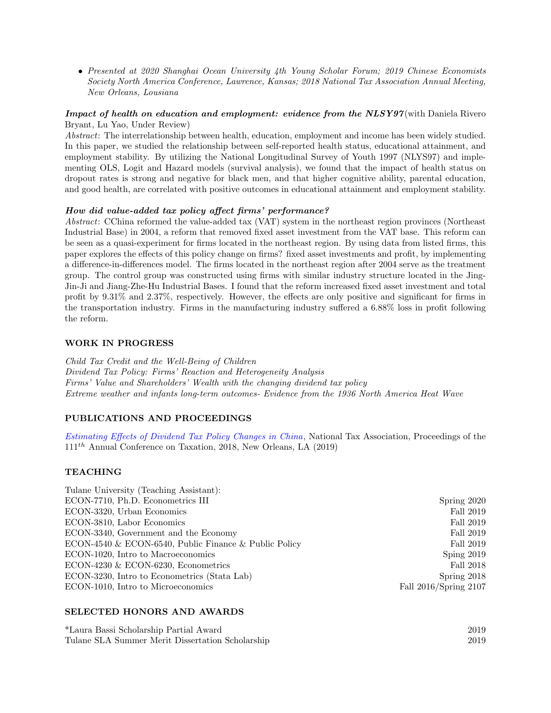• Presented at 2020 Shanghai Ocean University 4th Young Scholar Forum; 2019 Chinese Economists Society North America Conference, Lawrence, Kansas; 2018 National Tax Association Annual Meeting, New Orleans, Lousiana

# Impact of health on education and employment: evidence from the NLSY97(with Daniela Rivero Bryant, Lu Yao, Under Review)

Abstract: The interrelationship between health, education, employment and income has been widely studied. In this paper, we studied the relationship between self-reported health status, educational attainment, and employment stability. By utilizing the National Longitudinal Survey of Youth 1997 (NLYS97) and implementing OLS, Logit and Hazard models (survival analysis), we found that the impact of health status on dropout rates is strong and negative for black men, and that higher cognitive ability, parental education, and good health, are correlated with positive outcomes in educational attainment and employment stability.

# How did value-added tax policy affect firms' performance?

Abstract: CChina reformed the value-added tax (VAT) system in the northeast region provinces (Northeast Industrial Base) in 2004, a reform that removed fixed asset investment from the VAT base. This reform can be seen as a quasi-experiment for firms located in the northeast region. By using data from listed firms, this paper explores the effects of this policy change on firms? fixed asset investments and profit, by implementing a difference-in-differences model. The firms located in the northeast region after 2004 serve as the treatment group. The control group was constructed using firms with similar industry structure located in the Jing-Jin-Ji and Jiang-Zhe-Hu Industrial Bases. I found that the reform increased fixed asset investment and total profit by 9.31% and 2.37%, respectively. However, the effects are only positive and significant for firms in the transportation industry. Firms in the manufacturing industry suffered a 6.88% loss in profit following the reform.

### WORK IN PROGRESS

Child Tax Credit and the Well-Being of Children Dividend Tax Policy: Firms' Reaction and Heterogeneity Analysis Firms' Value and Shareholders' Wealth with the changing dividend tax policy Extreme weather and infants long-term outcomes- Evidence from the 1936 North America Heat Wave

# PUBLICATIONS AND PROCEEDINGS

[Estimating Effects of Dividend Tax Policy Changes in China](https://ntanet.org/conference/2019/03/111th-annual-conference-proceedings-2018/), National Tax Association, Proceedings of the  $111<sup>th</sup>$  Annual Conference on Taxation, 2018, New Orleans, LA (2019)

# TEACHING

| Tulane University (Teaching Assistant):               |                       |
|-------------------------------------------------------|-----------------------|
| ECON-7710, Ph.D. Econometrics III                     | Spring 2020           |
| ECON-3320, Urban Economics                            | Fall 2019             |
| ECON-3810, Labor Economics                            | Fall 2019             |
| ECON-3340, Government and the Economy                 | Fall 2019             |
| ECON-4540 & ECON-6540, Public Finance & Public Policy | Fall 2019             |
| ECON-1020, Intro to Macroeconomics                    | Sping $2019$          |
| ECON-4230 $&$ ECON-6230, Econometrics                 | Fall 2018             |
| ECON-3230, Intro to Econometrics (Stata Lab)          | Spring 2018           |
| ECON-1010, Intro to Microeconomics                    | Fall 2016/Spring 2107 |
|                                                       |                       |

# SELECTED HONORS AND AWARDS

| *Laura Bassi Scholarship Partial Award           | 2019 |
|--------------------------------------------------|------|
| Tulane SLA Summer Merit Dissertation Scholarship | 2019 |